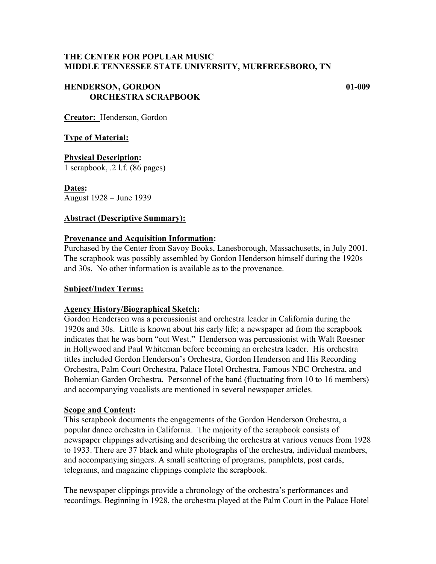# **THE CENTER FOR POPULAR MUSIC MIDDLE TENNESSEE STATE UNIVERSITY, MURFREESBORO, TN**

# **HENDERSON, GORDON 01-009 ORCHESTRA SCRAPBOOK**

**Creator:** Henderson, Gordon

## **Type of Material:**

**Physical Description:** 1 scrapbook, .2 l.f. (86 pages)

**Dates:** August 1928 – June 1939

#### **Abstract (Descriptive Summary):**

## **Provenance and Acquisition Information:**

Purchased by the Center from Savoy Books, Lanesborough, Massachusetts, in July 2001. The scrapbook was possibly assembled by Gordon Henderson himself during the 1920s and 30s. No other information is available as to the provenance.

#### **Subject/Index Terms:**

#### **Agency History/Biographical Sketch:**

Gordon Henderson was a percussionist and orchestra leader in California during the 1920s and 30s. Little is known about his early life; a newspaper ad from the scrapbook indicates that he was born "out West." Henderson was percussionist with Walt Roesner in Hollywood and Paul Whiteman before becoming an orchestra leader. His orchestra titles included Gordon Henderson's Orchestra, Gordon Henderson and His Recording Orchestra, Palm Court Orchestra, Palace Hotel Orchestra, Famous NBC Orchestra, and Bohemian Garden Orchestra. Personnel of the band (fluctuating from 10 to 16 members) and accompanying vocalists are mentioned in several newspaper articles.

#### **Scope and Content:**

This scrapbook documents the engagements of the Gordon Henderson Orchestra, a popular dance orchestra in California. The majority of the scrapbook consists of newspaper clippings advertising and describing the orchestra at various venues from 1928 to 1933. There are 37 black and white photographs of the orchestra, individual members, and accompanying singers. A small scattering of programs, pamphlets, post cards, telegrams, and magazine clippings complete the scrapbook.

The newspaper clippings provide a chronology of the orchestra's performances and recordings. Beginning in 1928, the orchestra played at the Palm Court in the Palace Hotel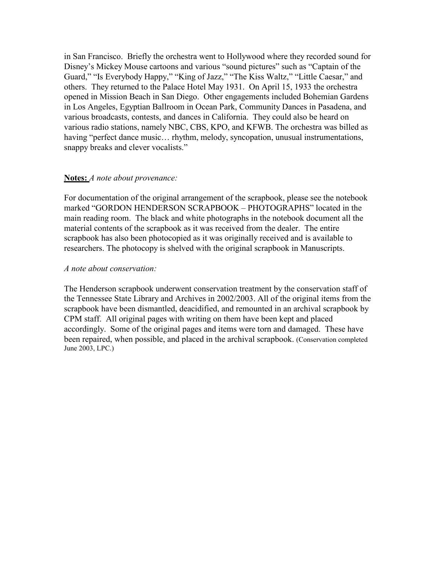in San Francisco. Briefly the orchestra went to Hollywood where they recorded sound for Disney's Mickey Mouse cartoons and various "sound pictures" such as "Captain of the Guard," "Is Everybody Happy," "King of Jazz," "The Kiss Waltz," "Little Caesar," and others. They returned to the Palace Hotel May 1931. On April 15, 1933 the orchestra opened in Mission Beach in San Diego. Other engagements included Bohemian Gardens in Los Angeles, Egyptian Ballroom in Ocean Park, Community Dances in Pasadena, and various broadcasts, contests, and dances in California. They could also be heard on various radio stations, namely NBC, CBS, KPO, and KFWB. The orchestra was billed as having "perfect dance music... rhythm, melody, syncopation, unusual instrumentations, snappy breaks and clever vocalists."

## **Notes:** *A note about provenance:*

For documentation of the original arrangement of the scrapbook, please see the notebook marked "GORDON HENDERSON SCRAPBOOK – PHOTOGRAPHS" located in the main reading room. The black and white photographs in the notebook document all the material contents of the scrapbook as it was received from the dealer. The entire scrapbook has also been photocopied as it was originally received and is available to researchers. The photocopy is shelved with the original scrapbook in Manuscripts.

## *A note about conservation:*

The Henderson scrapbook underwent conservation treatment by the conservation staff of the Tennessee State Library and Archives in 2002/2003. All of the original items from the scrapbook have been dismantled, deacidified, and remounted in an archival scrapbook by CPM staff. All original pages with writing on them have been kept and placed accordingly. Some of the original pages and items were torn and damaged. These have been repaired, when possible, and placed in the archival scrapbook. (Conservation completed June 2003, LPC.)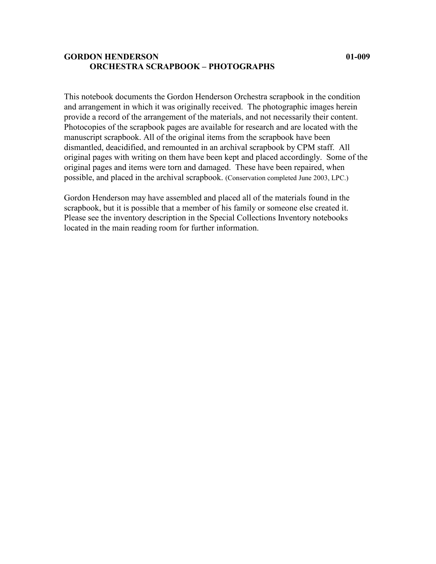## **GORDON HENDERSON 01-009 ORCHESTRA SCRAPBOOK – PHOTOGRAPHS**

This notebook documents the Gordon Henderson Orchestra scrapbook in the condition and arrangement in which it was originally received. The photographic images herein provide a record of the arrangement of the materials, and not necessarily their content. Photocopies of the scrapbook pages are available for research and are located with the manuscript scrapbook. All of the original items from the scrapbook have been dismantled, deacidified, and remounted in an archival scrapbook by CPM staff. All original pages with writing on them have been kept and placed accordingly. Some of the original pages and items were torn and damaged. These have been repaired, when possible, and placed in the archival scrapbook. (Conservation completed June 2003, LPC.)

Gordon Henderson may have assembled and placed all of the materials found in the scrapbook, but it is possible that a member of his family or someone else created it. Please see the inventory description in the Special Collections Inventory notebooks located in the main reading room for further information.